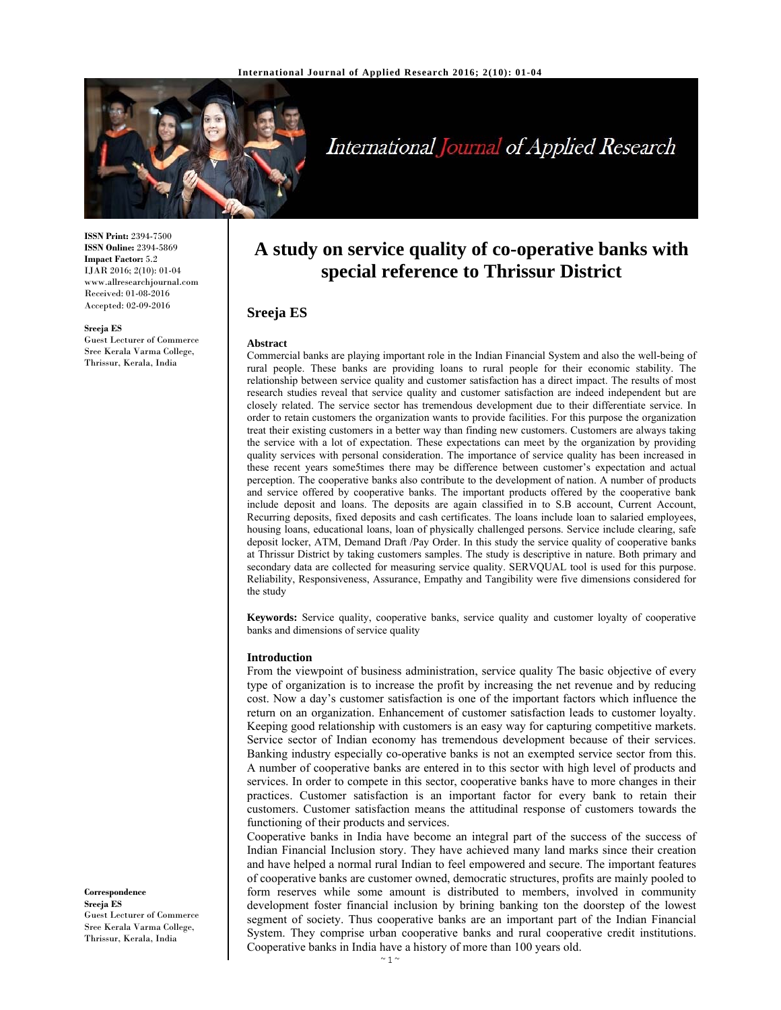

# International Journal of Applied Research

**ISSN Print:** 2394-7500 **ISSN Online:** 2394-5869 **Impact Factor:** 5.2 IJAR 2016; 2(10): 01-04 www.allresearchjournal.com Received: 01-08-2016 Accepted: 02-09-2016

**Sreeja ES**  Guest Lecturer of Commerce Sree Kerala Varma College, Thrissur, Kerala, India

# **A study on service quality of co-operative banks with special reference to Thrissur District**

# **Sreeja ES**

#### **Abstract**

Commercial banks are playing important role in the Indian Financial System and also the well-being of rural people. These banks are providing loans to rural people for their economic stability. The relationship between service quality and customer satisfaction has a direct impact. The results of most research studies reveal that service quality and customer satisfaction are indeed independent but are closely related. The service sector has tremendous development due to their differentiate service. In order to retain customers the organization wants to provide facilities. For this purpose the organization treat their existing customers in a better way than finding new customers. Customers are always taking the service with a lot of expectation. These expectations can meet by the organization by providing quality services with personal consideration. The importance of service quality has been increased in these recent years some5times there may be difference between customer's expectation and actual perception. The cooperative banks also contribute to the development of nation. A number of products and service offered by cooperative banks. The important products offered by the cooperative bank include deposit and loans. The deposits are again classified in to S.B account, Current Account, Recurring deposits, fixed deposits and cash certificates. The loans include loan to salaried employees, housing loans, educational loans, loan of physically challenged persons. Service include clearing, safe deposit locker, ATM, Demand Draft /Pay Order. In this study the service quality of cooperative banks at Thrissur District by taking customers samples. The study is descriptive in nature. Both primary and secondary data are collected for measuring service quality. SERVQUAL tool is used for this purpose. Reliability, Responsiveness, Assurance, Empathy and Tangibility were five dimensions considered for the study

**Keywords:** Service quality, cooperative banks, service quality and customer loyalty of cooperative banks and dimensions of service quality

#### **Introduction**

From the viewpoint of business administration, service quality The basic objective of every type of organization is to increase the profit by increasing the net revenue and by reducing cost. Now a day's customer satisfaction is one of the important factors which influence the return on an organization. Enhancement of customer satisfaction leads to customer loyalty. Keeping good relationship with customers is an easy way for capturing competitive markets. Service sector of Indian economy has tremendous development because of their services. Banking industry especially co-operative banks is not an exempted service sector from this. A number of cooperative banks are entered in to this sector with high level of products and services. In order to compete in this sector, cooperative banks have to more changes in their practices. Customer satisfaction is an important factor for every bank to retain their customers. Customer satisfaction means the attitudinal response of customers towards the functioning of their products and services.

Cooperative banks in India have become an integral part of the success of the success of Indian Financial Inclusion story. They have achieved many land marks since their creation and have helped a normal rural Indian to feel empowered and secure. The important features of cooperative banks are customer owned, democratic structures, profits are mainly pooled to form reserves while some amount is distributed to members, involved in community development foster financial inclusion by brining banking ton the doorstep of the lowest segment of society. Thus cooperative banks are an important part of the Indian Financial System. They comprise urban cooperative banks and rural cooperative credit institutions. Cooperative banks in India have a history of more than 100 years old.

**Correspondence Sreeja ES**  Guest Lecturer of Commerce Sree Kerala Varma College, Thrissur, Kerala, India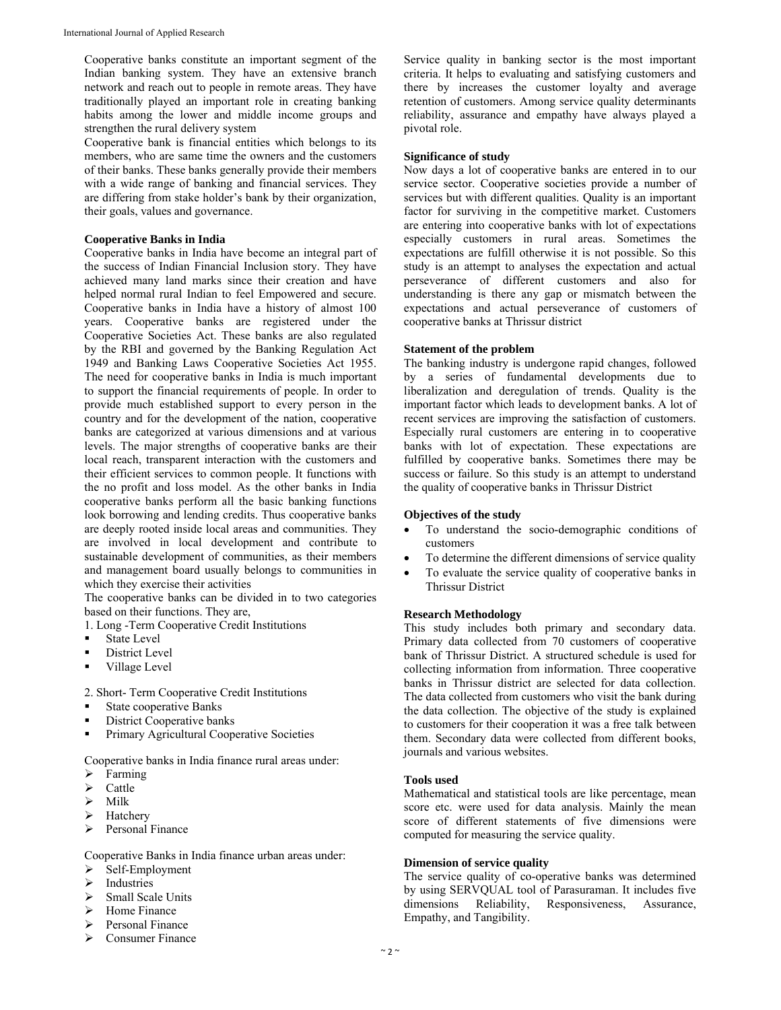Cooperative banks constitute an important segment of the Indian banking system. They have an extensive branch network and reach out to people in remote areas. They have traditionally played an important role in creating banking habits among the lower and middle income groups and strengthen the rural delivery system

Cooperative bank is financial entities which belongs to its members, who are same time the owners and the customers of their banks. These banks generally provide their members with a wide range of banking and financial services. They are differing from stake holder's bank by their organization, their goals, values and governance.

#### **Cooperative Banks in India**

Cooperative banks in India have become an integral part of the success of Indian Financial Inclusion story. They have achieved many land marks since their creation and have helped normal rural Indian to feel Empowered and secure. Cooperative banks in India have a history of almost 100 years. Cooperative banks are registered under the Cooperative Societies Act. These banks are also regulated by the RBI and governed by the Banking Regulation Act 1949 and Banking Laws Cooperative Societies Act 1955. The need for cooperative banks in India is much important to support the financial requirements of people. In order to provide much established support to every person in the country and for the development of the nation, cooperative banks are categorized at various dimensions and at various levels. The major strengths of cooperative banks are their local reach, transparent interaction with the customers and their efficient services to common people. It functions with the no profit and loss model. As the other banks in India cooperative banks perform all the basic banking functions look borrowing and lending credits. Thus cooperative banks are deeply rooted inside local areas and communities. They are involved in local development and contribute to sustainable development of communities, as their members and management board usually belongs to communities in which they exercise their activities

The cooperative banks can be divided in to two categories based on their functions. They are,

1. Long -Term Cooperative Credit Institutions

- State Level
- District Level
- **village Level**

2. Short- Term Cooperative Credit Institutions

- State cooperative Banks
- District Cooperative banks
- Primary Agricultural Cooperative Societies

Cooperative banks in India finance rural areas under:

- Farming
- $\triangleright$  Cattle
- $\triangleright$  Milk
- Hatchery
- $\triangleright$  Personal Finance

Cooperative Banks in India finance urban areas under:

- $\triangleright$  Self-Employment
- $\triangleright$  Industries<br> $\triangleright$  Small Scal
- Small Scale Units
- $\triangleright$  Home Finance
- > Personal Finance
- $\triangleright$  Consumer Finance

Service quality in banking sector is the most important criteria. It helps to evaluating and satisfying customers and there by increases the customer loyalty and average retention of customers. Among service quality determinants reliability, assurance and empathy have always played a pivotal role.

#### **Significance of study**

Now days a lot of cooperative banks are entered in to our service sector. Cooperative societies provide a number of services but with different qualities. Quality is an important factor for surviving in the competitive market. Customers are entering into cooperative banks with lot of expectations especially customers in rural areas. Sometimes the expectations are fulfill otherwise it is not possible. So this study is an attempt to analyses the expectation and actual perseverance of different customers and also for understanding is there any gap or mismatch between the expectations and actual perseverance of customers of cooperative banks at Thrissur district

#### **Statement of the problem**

The banking industry is undergone rapid changes, followed by a series of fundamental developments due to liberalization and deregulation of trends. Quality is the important factor which leads to development banks. A lot of recent services are improving the satisfaction of customers. Especially rural customers are entering in to cooperative banks with lot of expectation. These expectations are fulfilled by cooperative banks. Sometimes there may be success or failure. So this study is an attempt to understand the quality of cooperative banks in Thrissur District

#### **Objectives of the study**

- To understand the socio-demographic conditions of customers
- To determine the different dimensions of service quality
- To evaluate the service quality of cooperative banks in Thrissur District

#### **Research Methodology**

This study includes both primary and secondary data. Primary data collected from 70 customers of cooperative bank of Thrissur District. A structured schedule is used for collecting information from information. Three cooperative banks in Thrissur district are selected for data collection. The data collected from customers who visit the bank during the data collection. The objective of the study is explained to customers for their cooperation it was a free talk between them. Secondary data were collected from different books, journals and various websites.

#### **Tools used**

Mathematical and statistical tools are like percentage, mean score etc. were used for data analysis. Mainly the mean score of different statements of five dimensions were computed for measuring the service quality.

#### **Dimension of service quality**

The service quality of co-operative banks was determined by using SERVQUAL tool of Parasuraman. It includes five dimensions Reliability, Responsiveness, Assurance, dimensions Reliability, Responsiveness, Assurance, Empathy, and Tangibility.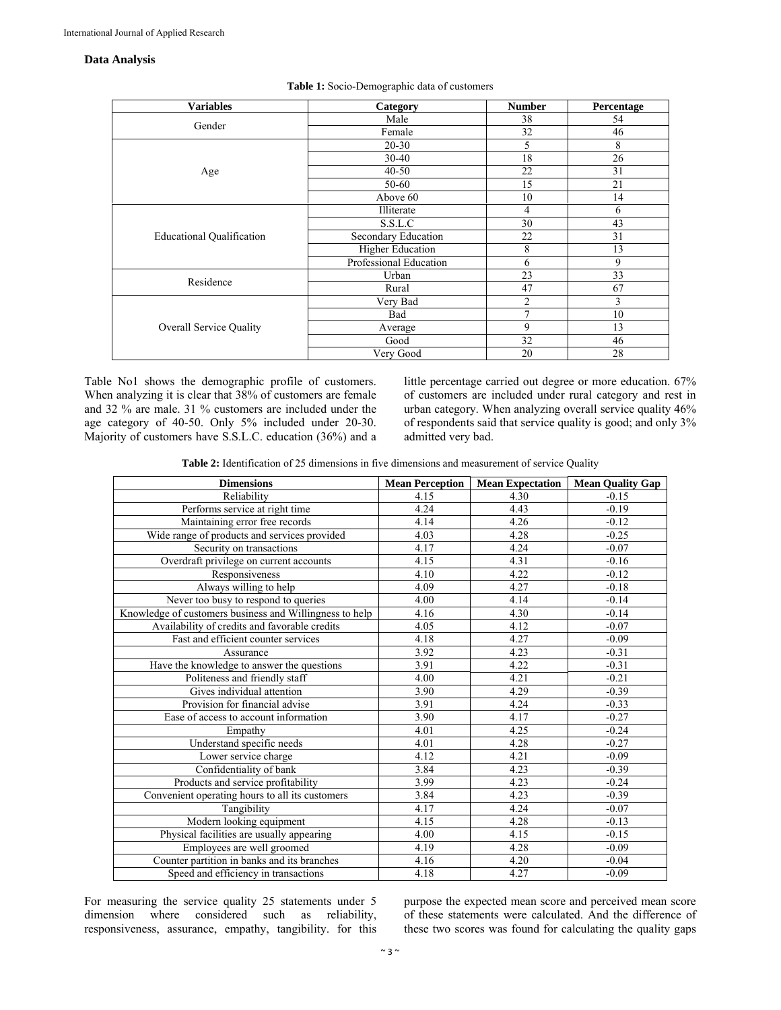#### **Data Analysis**

| <b>Variables</b>                 | Category                | <b>Number</b> | Percentage |
|----------------------------------|-------------------------|---------------|------------|
| Gender                           | Male                    | 38            | 54         |
|                                  | Female                  | 32            | 46         |
| Age                              | $20 - 30$               | 5             | 8          |
|                                  | $30 - 40$               | 18            | 26         |
|                                  | $40 - 50$               | 22            | 31         |
|                                  | 50-60                   | 15            | 21         |
|                                  | Above 60                | 10            | 14         |
| <b>Educational Qualification</b> | Illiterate              | 4             | 6          |
|                                  | S.S.L.C                 | 30            | 43         |
|                                  | Secondary Education     | 22            | 31         |
|                                  | <b>Higher Education</b> | 8             | 13         |
|                                  | Professional Education  | 6             | 9          |
| Residence                        | Urban                   | 23            | 33         |
|                                  | Rural                   | 47            | 67         |
| <b>Overall Service Quality</b>   | Very Bad                | 2             | 3          |
|                                  | Bad                     | 7             | 10         |
|                                  | Average                 | 9             | 13         |
|                                  | Good                    | 32            | 46         |
|                                  | Very Good               | 20            | 28         |

**Table 1:** Socio-Demographic data of customers

Table No1 shows the demographic profile of customers. When analyzing it is clear that 38% of customers are female and 32 % are male. 31 % customers are included under the age category of 40-50. Only 5% included under 20-30. Majority of customers have S.S.L.C. education (36%) and a little percentage carried out degree or more education. 67% of customers are included under rural category and rest in urban category. When analyzing overall service quality 46% of respondents said that service quality is good; and only 3% admitted very bad.

**Table 2:** Identification of 25 dimensions in five dimensions and measurement of service Quality

| <b>Dimensions</b>                                       | <b>Mean Perception</b> | <b>Mean Expectation</b> | <b>Mean Quality Gap</b> |
|---------------------------------------------------------|------------------------|-------------------------|-------------------------|
| Reliability                                             | 4.15                   | 4.30                    | $-0.15$                 |
| Performs service at right time                          | 4.24                   | 4.43                    | $-0.19$                 |
| Maintaining error free records                          | 4.14                   | 4.26                    | $-0.12$                 |
| Wide range of products and services provided            | 4.03                   | 4.28                    | $-0.25$                 |
| Security on transactions                                | 4.17                   | 4.24                    | $-0.07$                 |
| Overdraft privilege on current accounts                 | 4.15                   | 4.31                    | $-0.16$                 |
| Responsiveness                                          | 4.10                   | 4.22                    | $-0.12$                 |
| Always willing to help                                  | 4.09                   | 4.27                    | $-0.18$                 |
| Never too busy to respond to queries                    | 4.00                   | 4.14                    | $-0.14$                 |
| Knowledge of customers business and Willingness to help | 4.16                   | 4.30                    | $-0.14$                 |
| Availability of credits and favorable credits           | 4.05                   | 4.12                    | $-0.07$                 |
| Fast and efficient counter services                     | 4.18                   | 4.27                    | $-0.09$                 |
| Assurance                                               | 3.92                   | 4.23                    | $-0.31$                 |
| Have the knowledge to answer the questions              | 3.91                   | 4.22                    | $-0.31$                 |
| Politeness and friendly staff                           | 4.00                   | 4.21                    | $-0.21$                 |
| Gives individual attention                              | 3.90                   | 4.29                    | $-0.39$                 |
| Provision for financial advise                          | 3.91                   | 4.24                    | $-0.33$                 |
| Ease of access to account information                   | 3.90                   | 4.17                    | $-0.27$                 |
| Empathy                                                 | 4.01                   | 4.25                    | $-0.24$                 |
| Understand specific needs                               | 4.01                   | 4.28                    | $-0.27$                 |
| Lower service charge                                    | 4.12                   | 4.21                    | $-0.09$                 |
| Confidentiality of bank                                 | 3.84                   | 4.23                    | $-0.39$                 |
| Products and service profitability                      | 3.99                   | 4.23                    | $-0.24$                 |
| Convenient operating hours to all its customers         | 3.84                   | 4.23                    | $-0.39$                 |
| Tangibility                                             | 4.17                   | 4.24                    | $-0.07$                 |
| Modern looking equipment                                | 4.15                   | 4.28                    | $-0.13$                 |
| Physical facilities are usually appearing               | 4.00                   | 4.15                    | $-0.15$                 |
| Employees are well groomed                              | 4.19                   | 4.28                    | $-0.09$                 |
| Counter partition in banks and its branches             | 4.16                   | 4.20                    | $-0.04$                 |
| Speed and efficiency in transactions                    | 4.18                   | 4.27                    | $-0.09$                 |

For measuring the service quality 25 statements under 5 dimension where considered such as reliability, responsiveness, assurance, empathy, tangibility. for this

purpose the expected mean score and perceived mean score of these statements were calculated. And the difference of these two scores was found for calculating the quality gaps